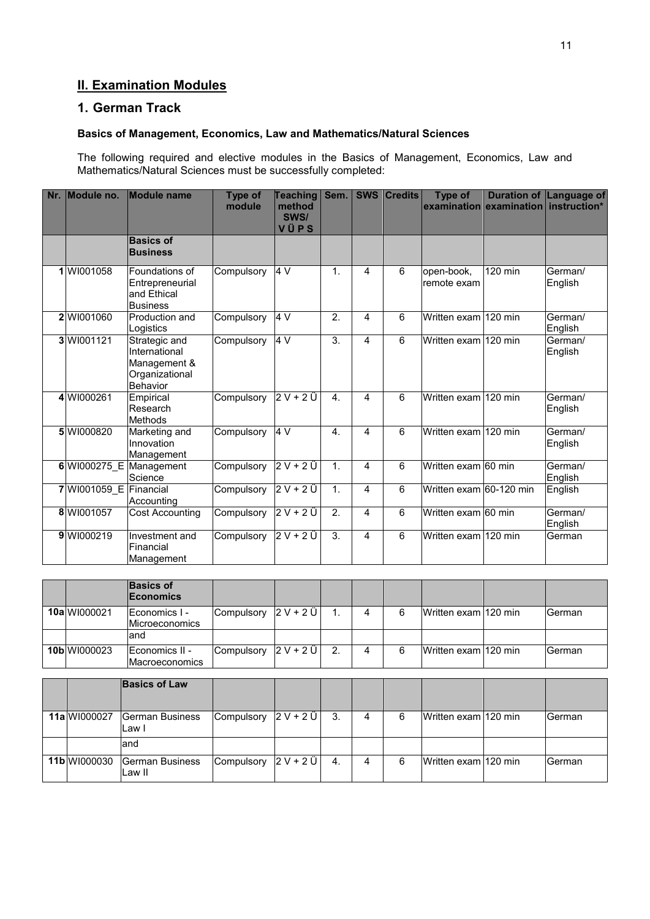# **II. Examination Modules**

# **1. German Track**

### **Basics of Management, Economics, Law and Mathematics/Natural Sciences**

The following required and elective modules in the Basics of Management, Economics, Law and Mathematics/Natural Sciences must be successfully completed:

| Nr. | Module no.             | <b>Module name</b>                                                           | <b>Type of</b><br>module | <b>Teaching</b><br>method<br>SWS/<br>VÜPS | Sem.             |                | <b>SWS Credits</b> | <b>Type of</b>            | examination examination instruction* | Duration of Language of |
|-----|------------------------|------------------------------------------------------------------------------|--------------------------|-------------------------------------------|------------------|----------------|--------------------|---------------------------|--------------------------------------|-------------------------|
|     |                        | <b>Basics of</b><br><b>Business</b>                                          |                          |                                           |                  |                |                    |                           |                                      |                         |
|     | 1 WI001058             | Foundations of<br>Entrepreneurial<br>and Ethical<br><b>Business</b>          | Compulsory               | 4 V                                       | $\mathbf{1}$ .   | 4              | 6                  | open-book,<br>remote exam | 120 min                              | German/<br>English      |
|     | 2 WI001060             | Production and<br>Logistics                                                  | Compulsory               | 4V                                        | $\overline{2}$ . | 4              | $\overline{6}$     | Written exam 120 min      |                                      | German/<br>English      |
|     | 3 WI001121             | Strategic and<br>International<br>Management &<br>Organizational<br>Behavior | Compulsory               | 4V                                        | $\overline{3}$ . | 4              | 6                  | Written exam 120 min      |                                      | German/<br>English      |
|     | 4 WI000261             | Empirical<br>Research<br><b>Methods</b>                                      | Compulsory               | $2V+2U$                                   | $\overline{4}$ . | $\overline{A}$ | 6                  | Written exam 120 min      |                                      | German/<br>English      |
|     | 5 WI000820             | Marketing and<br>Innovation<br>Management                                    | Compulsory               | 4V                                        | $\overline{4}$ . | 4              | 6                  | Written exam 120 min      |                                      | German/<br>English      |
|     |                        | 6 WI000275 E Management<br>Science                                           | Compulsory               | $2V+2U$                                   | 1 <sub>1</sub>   | 4              | 6                  | Written exam 60 min       |                                      | German/<br>English      |
|     | 7 WI001059 E Financial | Accounting                                                                   | Compulsory               | $2V+2Ü$                                   | 1.               | 4              | 6                  | Written exam 60-120 min   |                                      | English                 |
|     | 8 WI001057             | <b>Cost Accounting</b>                                                       | Compulsory               | $2V+2U$                                   | $\overline{2}$ . | 4              | 6                  | Written exam 60 min       |                                      | German/<br>English      |
|     | 9 WI000219             | Investment and<br>Financial<br>Management                                    | Compulsory               | $2V+2Ü$                                   | $\overline{3}$ . | 4              | 6                  | Written exam 120 min      |                                      | German                  |
|     |                        |                                                                              |                          |                                           |                  |                |                    |                           |                                      |                         |
|     |                        | <b>Basics of</b><br>Economics                                                |                          |                                           |                  |                |                    |                           |                                      |                         |
|     | 10a WI000021           | Economics I -<br>Microeconomics                                              | Compulsory               | $2V+2Ü$                                   | $\mathbf{1}$ .   | 4              | 6                  | Written exam 120 min      |                                      | German                  |
|     |                        | and                                                                          |                          |                                           |                  |                |                    |                           |                                      |                         |
|     | 10b WI000023           | Economics II -<br>Macroeconomics                                             | Compulsory               | $2 V + 2 U$                               | 2.               | 4              | 6                  | Written exam 120 min      |                                      | German                  |

|              | <b>Basics of Law</b>                   |            |           |    |   |   |                      |        |
|--------------|----------------------------------------|------------|-----------|----|---|---|----------------------|--------|
| 11alWI000027 | German Business<br>Law I               | Compulsory | $2V + 2U$ | 3. | 4 | 6 | Written exam 120 min | German |
|              | land                                   |            |           |    |   |   |                      |        |
|              | 11b WI000030 German Business<br>Law II | Compulsory | $2V + 2U$ | 4. | Δ | 6 | Written exam 120 min | German |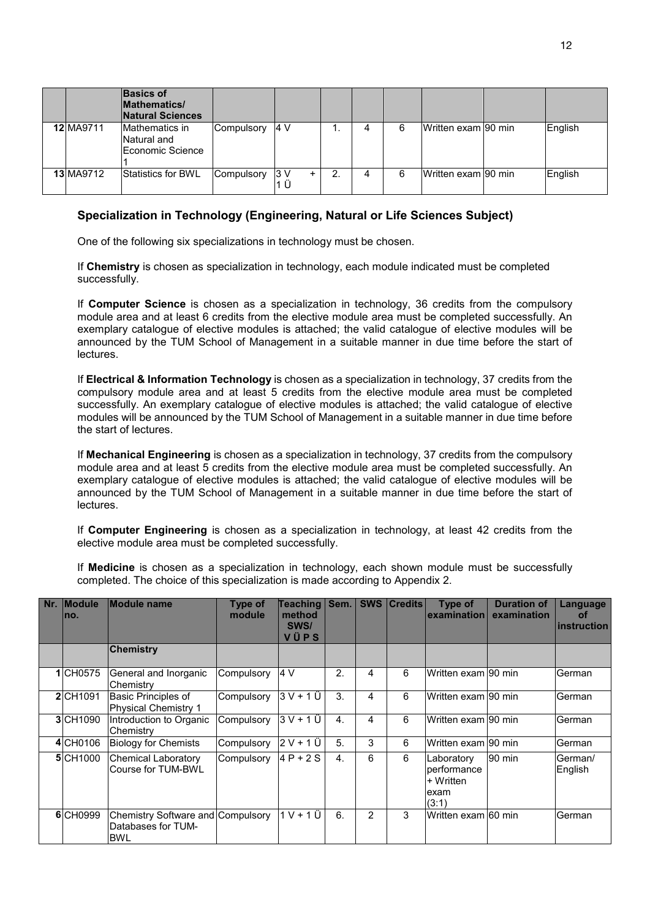|           | <b>Basics of</b><br><b>Mathematics/</b><br><b>Natural Sciences</b> |            |           |   |   |                     |         |
|-----------|--------------------------------------------------------------------|------------|-----------|---|---|---------------------|---------|
| 12 MA9711 | Mathematics in<br>Natural and<br>Economic Science                  | Compulsory | 4 V       |   | 6 | Written exam 90 min | English |
| 13 MA9712 | <b>Statistics for BWL</b>                                          | Compulsory | 3 V<br>ΙÜ | ົ | 6 | Written exam 90 min | English |

### **Specialization in Technology (Engineering, Natural or Life Sciences Subject)**

One of the following six specializations in technology must be chosen.

If **Chemistry** is chosen as specialization in technology, each module indicated must be completed successfully.

If **Computer Science** is chosen as a specialization in technology, 36 credits from the compulsory module area and at least 6 credits from the elective module area must be completed successfully. An exemplary catalogue of elective modules is attached; the valid catalogue of elective modules will be announced by the TUM School of Management in a suitable manner in due time before the start of lectures.

If **Electrical & Information Technology** is chosen as a specialization in technology, 37 credits from the compulsory module area and at least 5 credits from the elective module area must be completed successfully. An exemplary catalogue of elective modules is attached; the valid catalogue of elective modules will be announced by the TUM School of Management in a suitable manner in due time before the start of lectures.

If **Mechanical Engineering** is chosen as a specialization in technology, 37 credits from the compulsory module area and at least 5 credits from the elective module area must be completed successfully. An exemplary catalogue of elective modules is attached; the valid catalogue of elective modules will be announced by the TUM School of Management in a suitable manner in due time before the start of lectures.

If **Computer Engineering** is chosen as a specialization in technology, at least 42 credits from the elective module area must be completed successfully.

If **Medicine** is chosen as a specialization in technology, each shown module must be successfully completed. The choice of this specialization is made according to Appendix 2.

| Nr. | <b>Module</b><br>no. | Module name                                                    | Type of<br>module | Teaching   Sem.<br>method<br>SWS/<br>VÜPS |                  |                | <b>SWS   Credits  </b> | Type of<br>examination                                  | <b>Duration of</b><br>examination | Language<br>of<br><b>linstruction</b> |
|-----|----------------------|----------------------------------------------------------------|-------------------|-------------------------------------------|------------------|----------------|------------------------|---------------------------------------------------------|-----------------------------------|---------------------------------------|
|     |                      | <b>Chemistry</b>                                               |                   |                                           |                  |                |                        |                                                         |                                   |                                       |
|     | 1 CH0575             | General and Inorganic<br>Chemistry                             | Compulsory        | 14 V                                      | 2.               | 4              | 6                      | Written exam 90 min                                     |                                   | German                                |
|     | 2 CH <sub>1091</sub> | Basic Principles of<br><b>Physical Chemistry 1</b>             | Compulsory        | $3V + 1U$                                 | 3.               | 4              | 6                      | Written exam 90 min                                     |                                   | German                                |
|     | 3 CH1090             | Introduction to Organic<br>Chemistry                           | Compulsory        | 3 V + 1 Ü                                 | $\overline{4}$ . | 4              | 6                      | Written exam 90 min                                     |                                   | German                                |
|     | 4 CH0106             | <b>Biology for Chemists</b>                                    | Compulsory        | $2V+1U$                                   | 5.               | 3              | 6                      | Written exam l90 min                                    |                                   | German                                |
|     | 5 CH <sub>1000</sub> | <b>Chemical Laboratory</b><br>Course for TUM-BWL               | Compulsory        | $4P + 2S$                                 | $\mathbf{4}$ .   | 6              | 6                      | Laboratory<br>performance<br>+ Written<br>exam<br>(3:1) | 90 min                            | German/<br>English                    |
|     | 6 CH0999             | Chemistry Software and Compulsory<br>Databases for TUM-<br>BWL |                   | $1 V + 1 U$                               | 6.               | $\overline{2}$ | 3                      | Written exam l60 min                                    |                                   | German                                |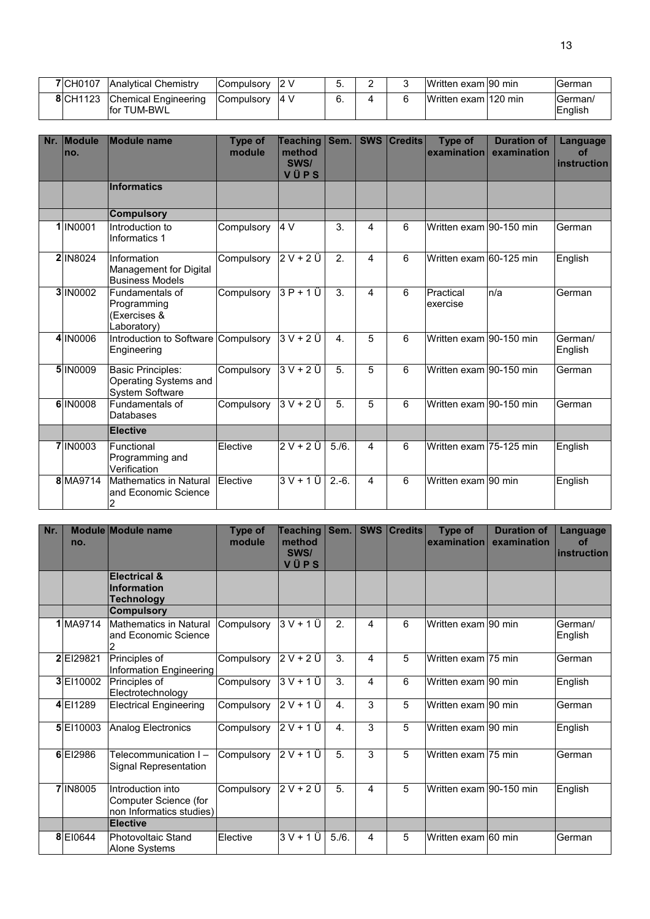| 7 CH0107 | <b>Analytical Chemistry</b>          | <b>Compulsory</b> | 2 V                | J. | - | Written exam 90 min    | <b>IGerman</b>           |
|----------|--------------------------------------|-------------------|--------------------|----|---|------------------------|--------------------------|
| 8 CH1123 | Chemical Engineering<br>lfor TUM-BWL | Compulsory        | $\sim$ 14 $\prime$ | υ. |   | IWritten exam l120 min | <b>German</b><br>English |

| Nr. | <b>Module</b><br>Ino. | <b>Module name</b>                                                          | <b>Type of</b><br>module | <b>Teaching</b><br>method<br>SWS/<br>VÜPS | Sem.                        | <b>SWS</b>     | <b>Credits</b> | Type of<br>examination  | <b>Duration of</b><br>examination | Language<br>of<br>instruction |
|-----|-----------------------|-----------------------------------------------------------------------------|--------------------------|-------------------------------------------|-----------------------------|----------------|----------------|-------------------------|-----------------------------------|-------------------------------|
|     |                       | Informatics                                                                 |                          |                                           |                             |                |                |                         |                                   |                               |
|     |                       | <b>Compulsory</b>                                                           |                          |                                           |                             |                |                |                         |                                   |                               |
|     | 1 IN0001              | Introduction to<br>Informatics 1                                            | Compulsory               | 4 V                                       | 3.                          | 4              | 6              | Written exam 90-150 min |                                   | German                        |
|     | 2 IN8024              | Information<br>Management for Digital<br><b>Business Models</b>             | Compulsory               | $2V+2U$                                   | $\mathcal{P}_{\mathcal{P}}$ | $\overline{4}$ | 6              | Written exam 60-125 min |                                   | English                       |
|     | 3 IN0002              | Fundamentals of<br>Programming<br>(Exercises &<br>Laboratory)               | Compulsory               | $3P+1U$                                   | 3.                          | $\overline{4}$ | 6              | Practical<br>exercise   | n/a                               | German                        |
|     | 4 IN0006              | Introduction to Software Compulsory<br>Engineering                          |                          | $3V + 2U$                                 | $\mathbf{A}$ .              | 5              | 6              | Written exam 90-150 min |                                   | German/<br>English            |
|     | 5 IN0009              | <b>Basic Principles:</b><br>Operating Systems and<br><b>System Software</b> | Compulsory               | $3V + 2U$                                 | 5.                          | 5              | 6              | Written exam 90-150 min |                                   | German                        |
|     | 6 IN0008              | Fundamentals of<br>Databases                                                | Compulsory               | $3V + 2U$                                 | 5.                          | 5              | 6              | Written exam 90-150 min |                                   | German                        |
|     |                       | <b>Elective</b>                                                             |                          |                                           |                             |                |                |                         |                                   |                               |
|     | 7 IN0003              | Functional<br>Programming and<br>Verification                               | Elective                 | $2V+2U$                                   | 5./6.                       | 4              | 6              | Written exam 75-125 min |                                   | English                       |
|     | 8 MA9714              | <b>Mathematics in Natural</b><br>and Economic Science<br>2                  | Elective                 | $3V + 1Ü$                                 | $2.-6.$                     | $\overline{4}$ | 6              | Written exam 90 min     |                                   | English                       |

| Nr. | no.       | Module Module name                                                     | Type of<br>module | <b>Teaching</b><br>method<br>SWS/<br>VÜPS | Sem.             | <b>SWS</b> | <b>Credits</b> | Type of<br>examination  | <b>Duration of</b><br>examination | Language<br>of<br>instruction |
|-----|-----------|------------------------------------------------------------------------|-------------------|-------------------------------------------|------------------|------------|----------------|-------------------------|-----------------------------------|-------------------------------|
|     |           | <b>Electrical &amp;</b><br><b>Information</b><br><b>Technology</b>     |                   |                                           |                  |            |                |                         |                                   |                               |
|     |           | <b>Compulsory</b>                                                      |                   |                                           |                  |            |                |                         |                                   |                               |
|     | 1 MA9714  | <b>Mathematics in Natural</b><br>and Economic Science<br>2             | Compulsory        | 3 V + 1 Ü                                 | 2.               | 4          | 6              | Written exam 90 min     |                                   | German/<br>English            |
|     | 2 El29821 | Principles of<br>Information Engineering                               | Compulsory        | $2 V + 2 U$                               | 3.               | 4          | 5              | Written exam 75 min     |                                   | German                        |
|     | 3 EI10002 | Principles of<br>Electrotechnology                                     | Compulsory        | $\overline{3V+1}$ $\overline{U}$          | 3.               | 4          | 6              | Written exam 90 min     |                                   | English                       |
|     | 4 EI1289  | <b>Electrical Engineering</b>                                          | Compulsory        | $2V+1Ü$                                   | 4.               | 3          | 5              | Written exam 90 min     |                                   | German                        |
|     | 5 EI10003 | Analog Electronics                                                     | Compulsory        | $2 V + 1 U$                               | $\overline{4}$ . | 3          | 5              | Written exam 90 min     |                                   | English                       |
|     | 6 El2986  | Telecommunication I-<br>Signal Representation                          | Compulsory        | 2 V + 1 Ü                                 | 5.               | 3          | 5              | Written exam 75 min     |                                   | German                        |
|     | 7 IN8005  | Introduction into<br>Computer Science (for<br>non Informatics studies) | Compulsory        | 2 V + 2 Ü                                 | 5.               | 4          | 5              | Written exam 90-150 min |                                   | English                       |
|     |           | <b>Elective</b>                                                        |                   |                                           |                  |            |                |                         |                                   |                               |
|     | 8 EI0644  | <b>Photovoltaic Stand</b><br>Alone Systems                             | Elective          | $3V + 1U$                                 | 5./6.            | 4          | 5              | Written exam 60 min     |                                   | German                        |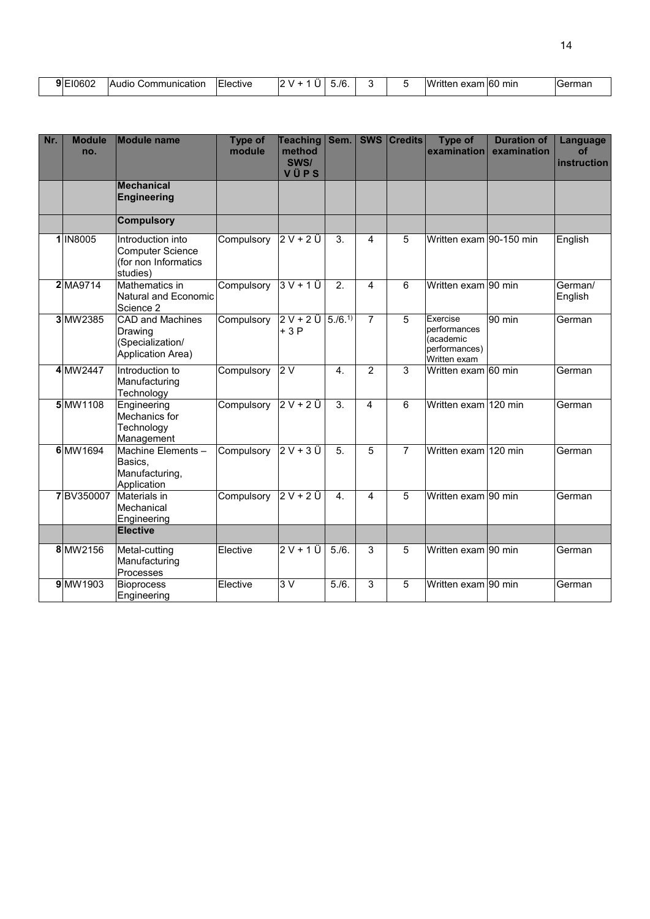| <sup>−10602</sup><br>9 F | $\cdot$ .<br>Audio<br>Communication | . .<br>_<br>lective<br>. | ۰. | - ۱۳. ر |  | $\Delta V \Delta m$<br>$W^r$<br>™ritiu<br>- --<br>. rer<br>GAQL | ` 16U<br>min | $ \sim$ rr<br>mar |
|--------------------------|-------------------------------------|--------------------------|----|---------|--|-----------------------------------------------------------------|--------------|-------------------|
|                          |                                     |                          |    |         |  |                                                                 |              |                   |

| Nr. | <b>Module</b><br>no. | <b>Module name</b>                                                          | <b>Type of</b><br>module | <b>Teaching</b><br>method<br>SWS/<br>VÜPS | Sem.             |                | <b>SWS Credits</b> | Type of<br>examination                                                 | <b>Duration of</b><br>examination | Language<br>of<br>instruction |
|-----|----------------------|-----------------------------------------------------------------------------|--------------------------|-------------------------------------------|------------------|----------------|--------------------|------------------------------------------------------------------------|-----------------------------------|-------------------------------|
|     |                      | <b>Mechanical</b><br><b>Engineering</b>                                     |                          |                                           |                  |                |                    |                                                                        |                                   |                               |
|     |                      | <b>Compulsory</b>                                                           |                          |                                           |                  |                |                    |                                                                        |                                   |                               |
|     | 1 IN8005             | Introduction into<br>Computer Science<br>(for non Informatics<br>studies)   | Compulsory               | $2V+2U$                                   | 3.               | 4              | 5                  | Written exam 90-150 min                                                |                                   | English                       |
|     | 2 MA9714             | Mathematics in<br>Natural and Economic<br>Science 2                         | Compulsory               | $3V + 1U$                                 | 2.               | 4              | 6                  | Written exam 90 min                                                    |                                   | German/<br>English            |
|     | 3 MW2385             | <b>CAD and Machines</b><br>Drawing<br>(Specialization/<br>Application Area) | Compulsory               | $2V+2U$<br>$+3P$                          | 5. / 6.1         | $\overline{7}$ | 5                  | Exercise<br>performances<br>(academic<br>performances)<br>Written exam | 90 min                            | German                        |
|     | 4 MW2447             | Introduction to<br>Manufacturing<br>Technology                              | Compulsory               | 2V                                        | $\overline{4}$ . | $\overline{2}$ | 3                  | Written exam 60 min                                                    |                                   | German                        |
|     | 5 MW1108             | Engineering<br>Mechanics for<br>Technology<br>Management                    | Compulsory               | $2V+2U$                                   | $\overline{3}$ . | 4              | 6                  | Written exam 120 min                                                   |                                   | German                        |
|     | 6 MW1694             | Machine Elements -<br>Basics,<br>Manufacturing,<br>Application              | Compulsory               | $2V+3Ü$                                   | 5.               | 5              | $\overline{7}$     | Written exam 120 min                                                   |                                   | German                        |
|     | 7BV350007            | Materials in<br>Mechanical<br>Engineering<br><b>Elective</b>                | Compulsory               | $2V+2U$                                   | 4.               | 4              | 5                  | Written exam 90 min                                                    |                                   | German                        |
|     |                      |                                                                             |                          |                                           |                  |                |                    |                                                                        |                                   |                               |
|     | 8 MW2156             | Metal-cutting<br>Manufacturing<br>Processes                                 | Elective                 | $2V+1U$                                   | 5./6.            | 3              | 5                  | Written exam 90 min                                                    |                                   | German                        |
|     | 9 MW1903             | <b>Bioprocess</b><br>Engineering                                            | Elective                 | 3V                                        | 5/6.             | 3              | 5                  | Written exam 90 min                                                    |                                   | German                        |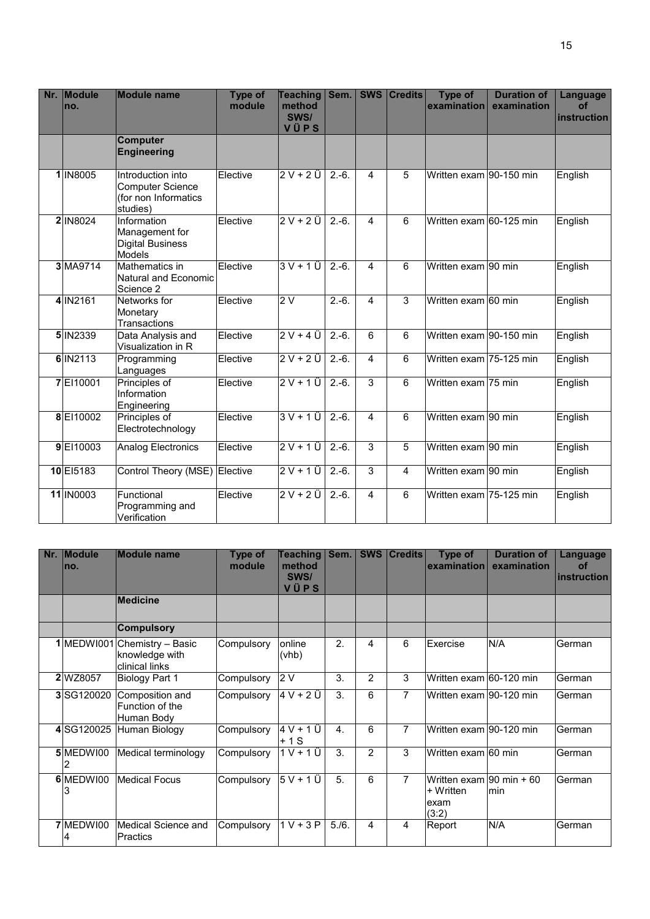| Nr. | Module<br>no. | <b>Module name</b>                                                        | Type of<br>module | <b>Teaching</b><br>method<br>SWS/<br>VÜPS | Sem.    | SWS            | <b>Credits</b> | Type of<br>examination  | <b>Duration of</b><br>examination | Language<br>of<br>instruction |
|-----|---------------|---------------------------------------------------------------------------|-------------------|-------------------------------------------|---------|----------------|----------------|-------------------------|-----------------------------------|-------------------------------|
|     |               | <b>Computer</b><br><b>Engineering</b>                                     |                   |                                           |         |                |                |                         |                                   |                               |
|     | 1 IN8005      | Introduction into<br>Computer Science<br>(for non Informatics<br>studies) | Elective          | $2V + 2U$                                 | $2.-6.$ | 4              | 5              | Written exam 90-150 min |                                   | English                       |
|     | 2 IN8024      | Information<br>Management for<br><b>Digital Business</b><br>Models        | Elective          | $2V+2U$                                   | $2.-6.$ | 4              | 6              | Written exam 60-125 min |                                   | English                       |
|     | 3 MA9714      | Mathematics in<br>Natural and Economic<br>Science 2                       | Elective          | $3V+1U$                                   | $2.-6.$ | $\overline{4}$ | 6              | Written exam 90 min     |                                   | English                       |
|     | 4 IN2161      | Networks for<br>Monetary<br><b>Transactions</b>                           | Elective          | 2V                                        | $2.-6.$ | 4              | $\overline{3}$ | Written exam 60 min     |                                   | English                       |
|     | 5 IN2339      | Data Analysis and<br>Visualization in R                                   | Elective          | $2V + 4U$                                 | $2.-6.$ | 6              | 6              | Written exam 90-150 min |                                   | English                       |
|     | 6 IN2113      | Programming<br>Languages                                                  | Elective          | $2V+2U$                                   | $2.-6.$ | $\overline{4}$ | 6              | Written exam 75-125 min |                                   | English                       |
|     | 7 EI10001     | Principles of<br>Information<br>Engineering                               | Elective          | $2V+1U$                                   | $2.-6.$ | 3              | 6              | Written exam 75 min     |                                   | English                       |
|     | 8 EI10002     | Principles of<br>Electrotechnology                                        | Elective          | $3V+1U$                                   | $2.-6.$ | $\overline{4}$ | 6              | Written exam 90 min     |                                   | English                       |
|     | 9 EI10003     | <b>Analog Electronics</b>                                                 | Elective          | $2V+1U$                                   | $2.-6.$ | 3              | $\overline{5}$ | Written exam 90 min     |                                   | English                       |
|     | 10 El5183     | Control Theory (MSE) Elective                                             |                   | $2V+1U$                                   | $2.-6.$ | 3              | $\overline{4}$ | Written exam 90 min     |                                   | English                       |
|     | 11 IN0003     | Functional<br>Programming and<br>Verification                             | Elective          | $2V + 2U$                                 | $2.-6.$ | 4              | 6              | Written exam 75-125 min |                                   | English                       |

| Nr. | <b>Module</b><br>Ino. | <b>Module name</b>                                               | <b>Type of</b><br>module | Teaching<br>method<br>SWS/<br>VÜPS | Sem.           | <b>SWS</b>     | <b>Credits</b> | <b>Type of</b><br>examination                           | <b>Duration of</b><br>examination | <b>Language</b><br><b>of</b><br><b>instruction</b> |
|-----|-----------------------|------------------------------------------------------------------|--------------------------|------------------------------------|----------------|----------------|----------------|---------------------------------------------------------|-----------------------------------|----------------------------------------------------|
|     |                       | <b>Medicine</b>                                                  |                          |                                    |                |                |                |                                                         |                                   |                                                    |
|     |                       | <b>Compulsory</b>                                                |                          |                                    |                |                |                |                                                         |                                   |                                                    |
|     |                       | 1 MEDWI001 Chemistry - Basic<br>knowledge with<br>clinical links | Compulsory               | online<br>(vhb)                    | 2.             | 4              | 6              | Exercise                                                | N/A                               | German                                             |
|     | <b>2 WZ8057</b>       | <b>Biology Part 1</b>                                            | Compulsory               | 2V                                 | 3.             | $\overline{2}$ | 3              | Written exam 60-120 min                                 |                                   | <b>German</b>                                      |
|     | 3 SG120020            | Composition and<br>Function of the<br>Human Body                 | Compulsory               | $4V + 2U$                          | 3.             | 6              | $\overline{7}$ | Written exam 90-120 min                                 |                                   | German                                             |
|     | 4SG120025             | <b>Human Biology</b>                                             | Compulsory               | 4 V + 1 Ü<br>$+1S$                 | $\mathbf{A}$ . | 6              | 7              | Written exam 90-120 min                                 |                                   | <b>German</b>                                      |
|     | 5 MEDWI00<br>2        | Medical terminology                                              | Compulsory               | $1 V + 1 U$                        | 3.             | $\overline{2}$ | 3              | Written exam 60 min                                     |                                   | German                                             |
|     | 6 MEDWI00<br>3        | <b>Medical Focus</b>                                             | Compulsory               | $5V + 1Ü$                          | 5.             | 6              | $\overline{7}$ | Written exam 90 min $+60$<br>+ Written<br>exam<br>(3:2) | min                               | German                                             |
|     | 7 MEDWI00<br>4        | Medical Science and<br>Practics                                  | Compulsory               | $1 V + 3 P$                        | 5./6.          | 4              | 4              | Report                                                  | N/A                               | German                                             |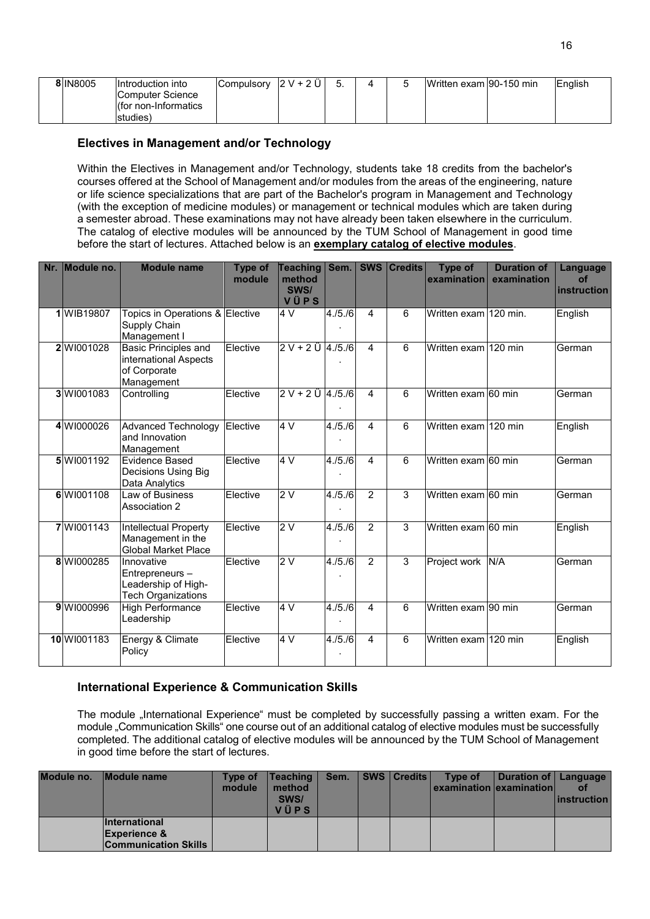| <b>8 IN8005</b> | Introduction into    | Compulsory | $2V + 2V$ |  | Written exam 90-150 min | English |
|-----------------|----------------------|------------|-----------|--|-------------------------|---------|
|                 | Computer Science     |            |           |  |                         |         |
|                 | Ifor non-Informatics |            |           |  |                         |         |
|                 | studies <sup>'</sup> |            |           |  |                         |         |

# **Electives in Management and/or Technology**

Within the Electives in Management and/or Technology, students take 18 credits from the bachelor's courses offered at the School of Management and/or modules from the areas of the engineering, nature or life science specializations that are part of the Bachelor's program in Management and Technology (with the exception of medicine modules) or management or technical modules which are taken during a semester abroad. These examinations may not have already been taken elsewhere in the curriculum. The catalog of elective modules will be announced by the TUM School of Management in good time before the start of lectures. Attached below is an **exemplary catalog of elective modules**.

| Nr. | Module no.  | <b>Module name</b>                                                               | Type of<br>module | <b>Teaching</b><br>method<br>SWS/<br>VÜPS | Sem.        | <b>SWS</b>              | <b>Credits</b> | <b>Type of</b><br>examination | <b>Duration of</b><br>examination | <b>Language</b><br>of<br>instruction |
|-----|-------------|----------------------------------------------------------------------------------|-------------------|-------------------------------------------|-------------|-------------------------|----------------|-------------------------------|-----------------------------------|--------------------------------------|
|     | 1 WIB19807  | Topics in Operations & Elective<br>Supply Chain<br>Management I                  |                   | 4 V                                       | 4. / 5. / 6 | 4                       | 6              | Written exam 120 min.         |                                   | English                              |
|     | 2 WI001028  | Basic Principles and<br>international Aspects<br>of Corporate<br>Management      | Elective          | $2 V + 2 U 4.75.76$                       |             | $\overline{\mathbf{A}}$ | 6              | Written exam 120 min          |                                   | German                               |
|     | 3 WI001083  | Controlling                                                                      | Elective          | $2 V + 2 U   4./5./6$                     |             | 4                       | 6              | Written exam 60 min           |                                   | German                               |
|     | 4 WI000026  | Advanced Technology<br>and Innovation<br>Management                              | Elective          | 4 V                                       | 4. / 5. / 6 | $\overline{\mathbf{A}}$ | 6              | Written exam 120 min          |                                   | English                              |
|     | 5 WI001192  | <b>Evidence Based</b><br>Decisions Using Big<br>Data Analytics                   | Elective          | 4 V                                       | 4. / 5. / 6 | 4                       | 6              | Written exam 60 min           |                                   | German                               |
|     | 6 WI001108  | Law of Business<br>Association 2                                                 | Elective          | 2V                                        | 4./5./6     | $\overline{2}$          | 3              | Written exam 60 min           |                                   | German                               |
|     | 7 WI001143  | Intellectual Property<br>Management in the<br><b>Global Market Place</b>         | Elective          | 2V                                        | 4./5./6     | 2                       | 3              | Written exam 60 min           |                                   | English                              |
|     | 8 WI000285  | Innovative<br>Entrepreneurs-<br>Leadership of High-<br><b>Tech Organizations</b> | Elective          | 2V                                        | 4.15.16     | $\mathcal{P}$           | 3              | Project work                  | N/A                               | German                               |
|     | 9 WI000996  | <b>High Performance</b><br>Leadership                                            | Elective          | 4V                                        | 4./5./6     | 4                       | 6              | Written exam 90 min           |                                   | German                               |
|     | 10 WI001183 | Energy & Climate<br>Policy                                                       | Elective          | 4 V                                       | 4./5./6     | $\overline{\mathbf{A}}$ | 6              | Written exam 120 min          |                                   | English                              |

# **International Experience & Communication Skills**

The module "International Experience" must be completed by successfully passing a written exam. For the module "Communication Skills" one course out of an additional catalog of elective modules must be successfully completed. The additional catalog of elective modules will be announced by the TUM School of Management in good time before the start of lectures.

| Module no. | <b>IModule name</b>                                                            | Type of<br>module | <b>Teaching</b><br>method<br>SWS/<br><b>VÜPS</b> | Sem. | SWS   Credits | Type of<br><u>  examination lexamination </u> | Duration of Language | <i>instruction</i> |
|------------|--------------------------------------------------------------------------------|-------------------|--------------------------------------------------|------|---------------|-----------------------------------------------|----------------------|--------------------|
|            | <b>International</b><br><b>Experience &amp;</b><br><b>Communication Skills</b> |                   |                                                  |      |               |                                               |                      |                    |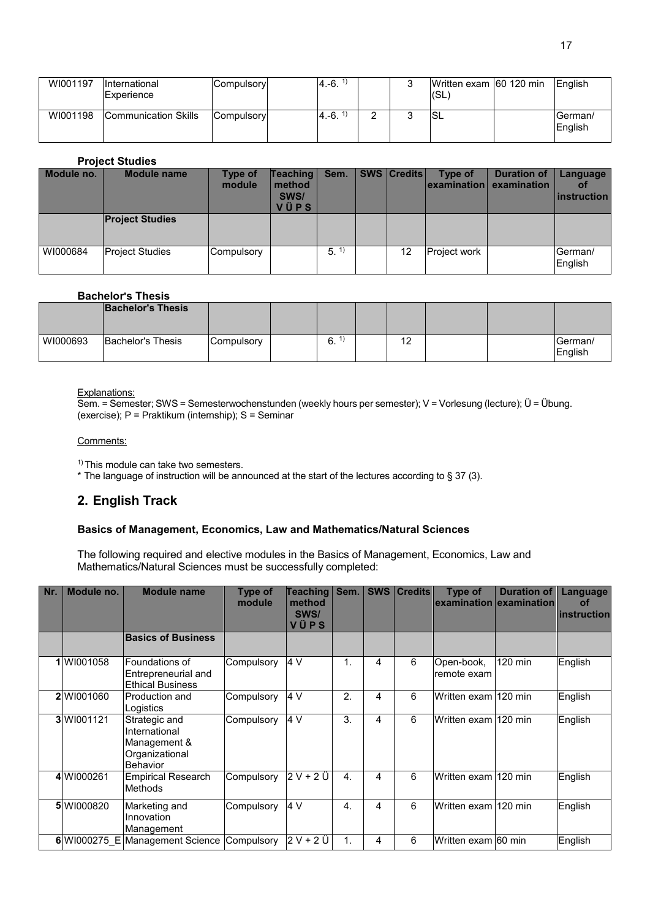| WI001197 | <b>International</b><br>Experience | Compulsory | $4.-6.$ |   | Written exam 60 120 min<br>I(SL | English            |
|----------|------------------------------------|------------|---------|---|---------------------------------|--------------------|
| WI001198 | Communication Skills               | Compulsory | $4.-6.$ | ⌒ | <b>SL</b>                       | German/<br>English |

### **Project Studies**

| Module no. | <b>Module name</b>     | Type of<br>module | <b>Teaching</b><br>method<br>SWS/<br>VÜPS | Sem. | <b>SWS Credits</b> | Type of             | <b>Duration of</b><br> examination  examination | Language<br><b>ot</b><br><b>linstruction</b> |
|------------|------------------------|-------------------|-------------------------------------------|------|--------------------|---------------------|-------------------------------------------------|----------------------------------------------|
|            | <b>Project Studies</b> |                   |                                           |      |                    |                     |                                                 |                                              |
| WI000684   | <b>Project Studies</b> | Compulsory        |                                           | 5.   | 12                 | <b>Project work</b> |                                                 | German/<br>English                           |

### **Bachelor's Thesis**

|          | <b>Bachelor's Thesis</b> |            |    |         |  |                     |
|----------|--------------------------|------------|----|---------|--|---------------------|
| WI000693 | Bachelor's Thesis        | Compulsory | 6. | 12<br>► |  | lGerman/<br>English |

#### Explanations:

Sem. = Semester; SWS = Semesterwochenstunden (weekly hours per semester); V = Vorlesung (lecture); Ü = Übung. (exercise); P = Praktikum (internship); S = Seminar

#### Comments:

<sup>1)</sup> This module can take two semesters.

\* The language of instruction will be announced at the start of the lectures according to § 37 (3).

# **2. English Track**

### **Basics of Management, Economics, Law and Mathematics/Natural Sciences**

The following required and elective modules in the Basics of Management, Economics, Law and Mathematics/Natural Sciences must be successfully completed:

| Nr. | Module no. | <b>Module name</b>                                                           | Type of<br>module | Teaching<br>method<br>SWS/<br>VÜPS | Sem.             | <b>SWS</b> | <b>Credits</b> | Type of                   | <b>Duration of</b><br>examination examination | Language<br><b>of</b><br>instruction |
|-----|------------|------------------------------------------------------------------------------|-------------------|------------------------------------|------------------|------------|----------------|---------------------------|-----------------------------------------------|--------------------------------------|
|     |            | <b>Basics of Business</b>                                                    |                   |                                    |                  |            |                |                           |                                               |                                      |
|     | WI001058   | Foundations of<br>Entrepreneurial and<br><b>Ethical Business</b>             | Compulsory        | 4 V                                | 1.               | 4          | 6              | Open-book,<br>remote exam | 120 min                                       | English                              |
|     | 2 W1001060 | <b>Production and</b><br>Logistics                                           | Compulsory        | 4 V                                | 2.               | 4          | 6              | Written exam l120 min     |                                               | English                              |
|     | 3 W1001121 | Strategic and<br>International<br>Management &<br>Organizational<br>Behavior | Compulsory        | 4 V                                | 3.               | 4          | 6              | Written exam l120 min     |                                               | English                              |
|     | 4 W1000261 | <b>Empirical Research</b><br>Methods                                         | Compulsory        | 2 V + 2 Ü                          | $\overline{4}$ . | 4          | 6              | lWritten exam l120 min    |                                               | English                              |
|     | 5 W1000820 | Marketing and<br>Innovation<br>Management                                    | Compulsory        | 4 V                                | $\overline{4}$ . | 4          | 6              | Written exam 120 min      |                                               | English                              |
|     |            | 6 WI000275 E Management Science Compulsory                                   |                   | $2V+2U$                            | 1.               | 4          | 6              | Written exam 60 min       |                                               | English                              |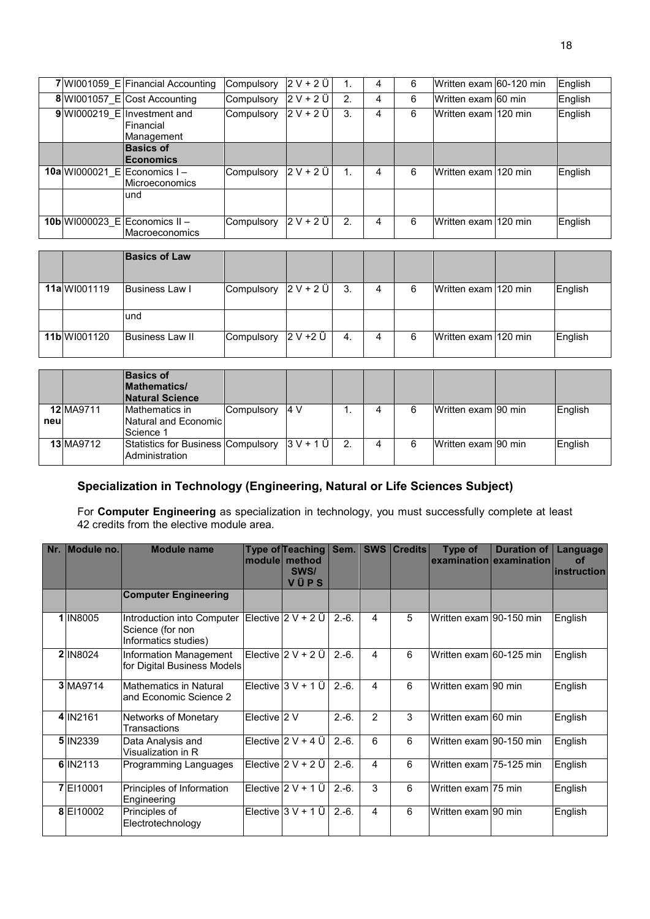|  | 7 WI001059 E Financial Accounting                        | Compulsory | $2V + 2U$   |              | 4 | 6 | Written exam 60-120 min | English |
|--|----------------------------------------------------------|------------|-------------|--------------|---|---|-------------------------|---------|
|  | 8 WI001057 E Cost Accounting                             | Compulsory | $2V + 2U$   | 2.           | 4 | 6 | Written exam 60 min     | English |
|  | $9$ WI000219 E Investment and<br>Financial<br>Management | Compulsory | $2 V + 2 U$ | 3.           | 4 | 6 | IWritten exam l120 min. | English |
|  | <b>Basics of</b><br><b>Economics</b>                     |            |             |              |   |   |                         |         |
|  | 10a WI000021 E Economics I -<br>Microeconomics           | Compulsory | $2 V + 2 U$ | 1.           | 4 | 6 | IWritten exam l120 min. | English |
|  | und                                                      |            |             |              |   |   |                         |         |
|  | 10b WI000023_E Economics II -<br><b>Macroeconomics</b>   | Compulsory | $2 V + 2 U$ | $\mathbf{2}$ | 4 | 6 | Written exam l120 min   | English |

|              | <b>Basics of Law</b> |            |           |     |   |   |                      |         |
|--------------|----------------------|------------|-----------|-----|---|---|----------------------|---------|
| 11a W1001119 | Business Law I       | Compulsory | $2V + 2U$ | -3. | 4 | 6 | Written exam 120 min | English |
|              | und                  |            |           |     |   |   |                      |         |
| 11b W1001120 | Business Law II      | Compulsory | 2 V +2 Ü  | 4.  | 4 | 6 | Written exam 120 min | English |

|      |                  | <b>Basics of</b><br><b>Mathematics/</b><br><b>Natural Science</b>  |            |      |    |   |                     |         |
|------|------------------|--------------------------------------------------------------------|------------|------|----|---|---------------------|---------|
| neul | 12 MA9711        | Mathematics in<br>Natural and Economic<br>Science 1                | Compulsory | 14 V |    | д | Written exam 90 min | English |
|      | <b>13 MA9712</b> | Statistics for Business Compulsory $ 3 V + 1 U $<br>Administration |            |      | 2. | 4 | Written exam 90 min | English |

# **Specialization in Technology (Engineering, Natural or Life Sciences Subject)**

For **Computer Engineering** as specialization in technology, you must successfully complete at least 42 credits from the elective module area.

| Nr. | Module no.      | <b>Module name</b>                                                     |              | Type of Teaching<br>module method<br>SWS/<br>VÜPS | Sem.    | SWS            | <b>Credits</b> | <b>Type of</b>          | <b>Duration of</b><br>examination examination | Language<br><b>of</b><br><b>linstruction</b> |
|-----|-----------------|------------------------------------------------------------------------|--------------|---------------------------------------------------|---------|----------------|----------------|-------------------------|-----------------------------------------------|----------------------------------------------|
|     |                 | <b>Computer Engineering</b>                                            |              |                                                   |         |                |                |                         |                                               |                                              |
|     | 1 IN8005        | Introduction into Computer<br>Science (for non<br>Informatics studies) |              | Elective  2 V + 2 Ü                               | $2.-6.$ | 4              | 5              | Written exam 90-150 min |                                               | English                                      |
|     | <b>2 IN8024</b> | Information Management<br>for Digital Business Models                  |              | Elective $2 V + 2 U$                              | $2.-6.$ | 4              | 6              | Written exam 60-125 min |                                               | English                                      |
|     | 3 MA9714        | <b>Mathematics in Natural</b><br>and Economic Science 2                |              | Elective $3 V + 1 U$                              | $2.-6.$ | 4              | 6              | Written exam 90 min     |                                               | English                                      |
|     | 4 IN 2161       | Networks of Monetary<br>Transactions                                   | Elective 2 V |                                                   | $2.-6.$ | $\overline{2}$ | 3              | Written exam 60 min     |                                               | English                                      |
|     | 5 IN 2339       | Data Analysis and<br>Visualization in R                                |              | Elective $2 V + 4 U$                              | $2.-6.$ | 6              | 6              | Written exam 90-150 min |                                               | English                                      |
|     | 6 IN 2113       | Programming Languages                                                  |              | Elective $2 V + 2 U$                              | $2.-6.$ | 4              | 6              | Written exam 75-125 min |                                               | English                                      |
|     | 7E110001        | Principles of Information<br>Engineering                               |              | Elective $2 V + 1 U$                              | $2.-6.$ | 3              | 6              | Written exam 75 min     |                                               | English                                      |
|     | 8 EI10002       | Principles of<br>Electrotechnology                                     |              | Elective $3 V + 1 U$                              | $2.-6.$ | 4              | 6              | Written exam 90 min     |                                               | English                                      |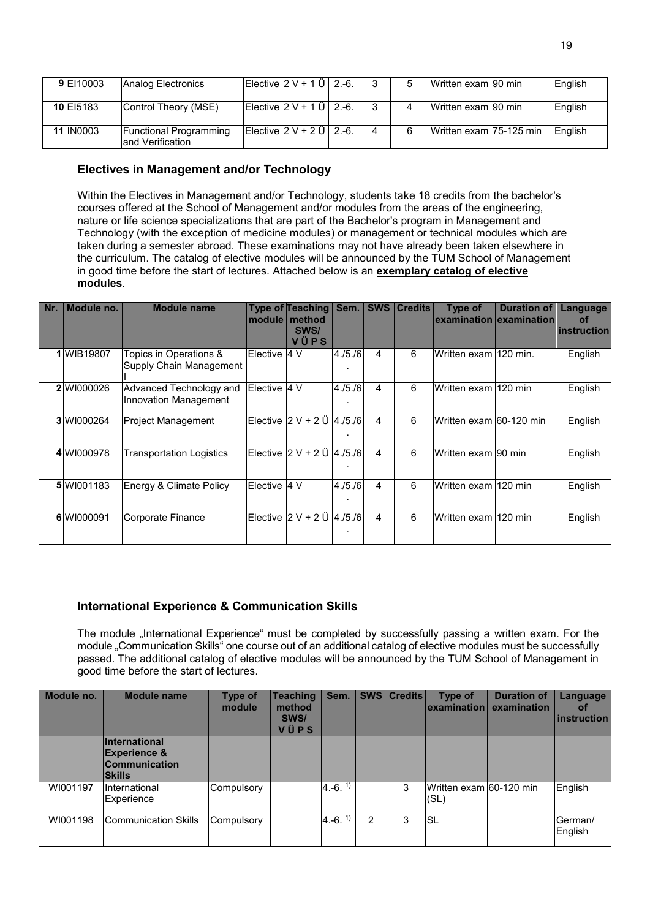| 9 EI 10003 | Analog Electronics                                 | Elective $2 V + 1 U$ 2.-6.                                                     |                | 'b | Written exam 90 min     | English |
|------------|----------------------------------------------------|--------------------------------------------------------------------------------|----------------|----|-------------------------|---------|
| 10 El 5183 | Control Theory (MSE)                               | $\left  \right $ Elective $\left  2 \vee + 1 \right $ $\left  1 \right $ 2.-6. | 3              | 4  | IWritten exam 190 min   | English |
| 11 IN0003  | <b>Functional Programming</b><br>land Verification | Elective $2 V + 2 U$   2.-6.                                                   | $\overline{4}$ | 6  | Written exam 75-125 min | English |

# **Electives in Management and/or Technology**

Within the Electives in Management and/or Technology, students take 18 credits from the bachelor's courses offered at the School of Management and/or modules from the areas of the engineering, nature or life science specializations that are part of the Bachelor's program in Management and Technology (with the exception of medicine modules) or management or technical modules which are taken during a semester abroad. These examinations may not have already been taken elsewhere in the curriculum. The catalog of elective modules will be announced by the TUM School of Management in good time before the start of lectures. Attached below is an **exemplary catalog of elective modules**.

| Nr. | Module no. | <b>Module name</b>                                | module   | <b>Type of Teaching</b><br>method<br>SWS/<br>VÜPS | Sem.    | <b>SWS</b> | <b>Credits</b> | Type of                 | <b>Duration of</b><br>examination examination | Language<br>of<br>instruction |
|-----|------------|---------------------------------------------------|----------|---------------------------------------------------|---------|------------|----------------|-------------------------|-----------------------------------------------|-------------------------------|
|     | 1 WIB19807 | Topics in Operations &<br>Supply Chain Management | Elective | 14 V                                              | 4./5./6 | 4          | 6              | Written exam 120 min.   |                                               | English                       |
|     | 2 WI000026 | Advanced Technology and<br>Innovation Management  | Elective | 4V                                                | 4./5./6 | 4          | 6              | Written exam I120 min   |                                               | English                       |
|     | 3 W1000264 | <b>Project Management</b>                         |          | Elective $2 V + 2 U$                              | 4./5./6 | 4          | 6              | Written exam 60-120 min |                                               | English                       |
|     | 4 W1000978 | Transportation Logistics                          |          | Elective $ 2 V + 2 U  $ 4./5./6                   |         | 4          | 6              | Written exam 90 min     |                                               | English                       |
|     | 5 W1001183 | Energy & Climate Policy                           | Elective | 4V                                                | 4./5./6 | 4          | 6              | Written exam 120 min    |                                               | English                       |
|     | 6 W1000091 | Corporate Finance                                 |          | Elective $2 V + 2 U  4./5./6 $                    |         | 4          | 6              | Written exam l120 min   |                                               | English                       |

# **International Experience & Communication Skills**

The module "International Experience" must be completed by successfully passing a written exam. For the module "Communication Skills" one course out of an additional catalog of elective modules must be successfully passed. The additional catalog of elective modules will be announced by the TUM School of Management in good time before the start of lectures.

| Module no. | <b>Module name</b>                                                                | Type of<br>module | <b>Teaching</b><br>method<br>SWS/<br>VÜPS | Sem.                     |   | <b>SWS   Credits  </b> | Type of<br>l examination l      | <b>Duration of</b><br>examination | Language<br><b>of</b><br>instruction |
|------------|-----------------------------------------------------------------------------------|-------------------|-------------------------------------------|--------------------------|---|------------------------|---------------------------------|-----------------------------------|--------------------------------------|
|            | International<br><b>Experience &amp;</b><br><b>Communication</b><br><b>Skills</b> |                   |                                           |                          |   |                        |                                 |                                   |                                      |
| WI001197   | International<br>Experience                                                       | Compulsory        |                                           | $(4. -6. \frac{\pi}{2})$ |   | 3                      | Written exam 60-120 min<br>(SL) |                                   | English                              |
| WI001198   | <b>Communication Skills</b>                                                       | Compulsory        |                                           | $4.-6.1$                 | 2 | 3                      | lsl                             |                                   | German/<br>English                   |